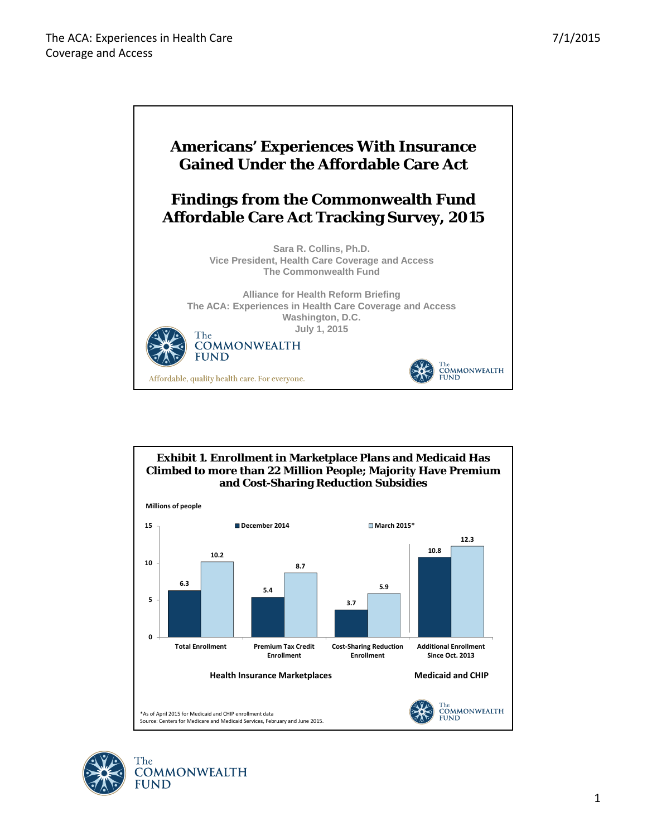



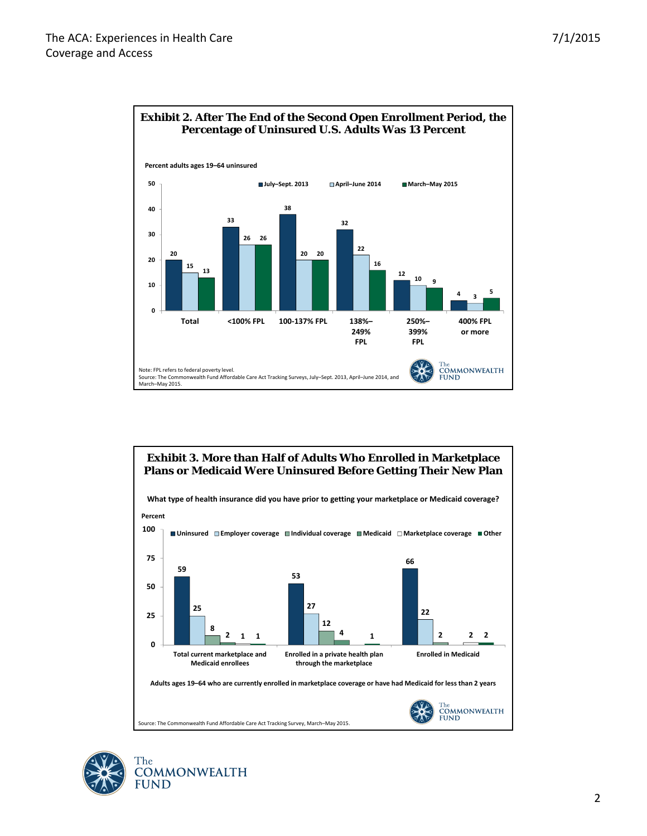



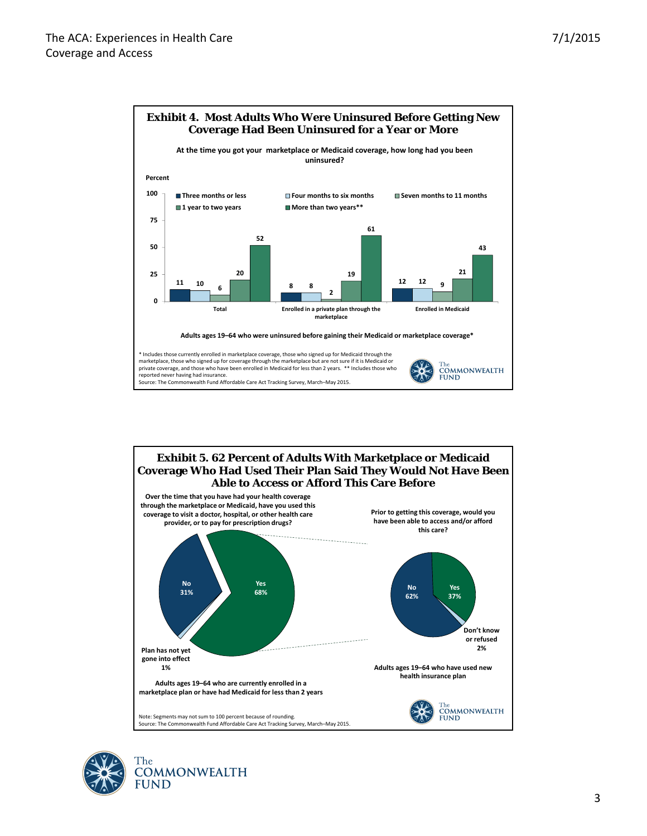





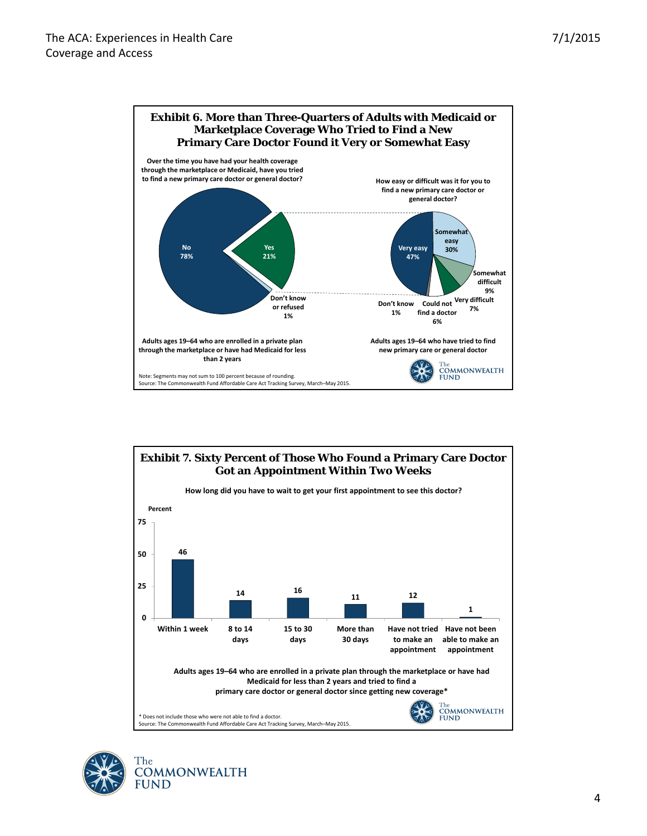



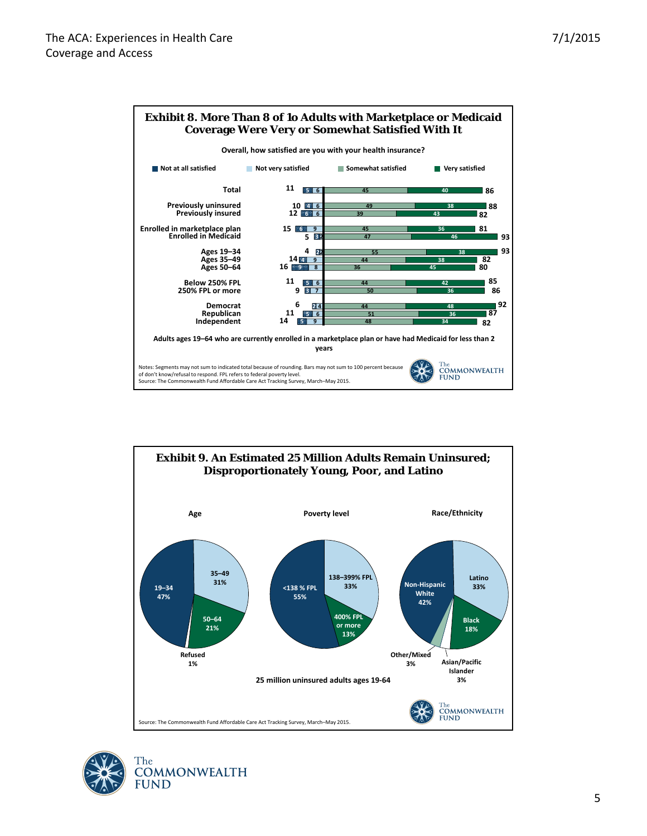



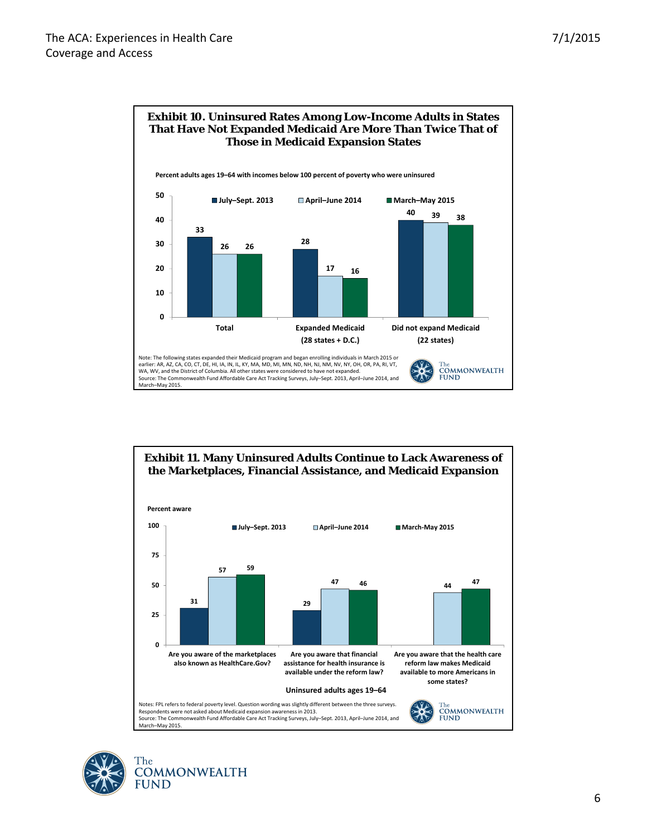



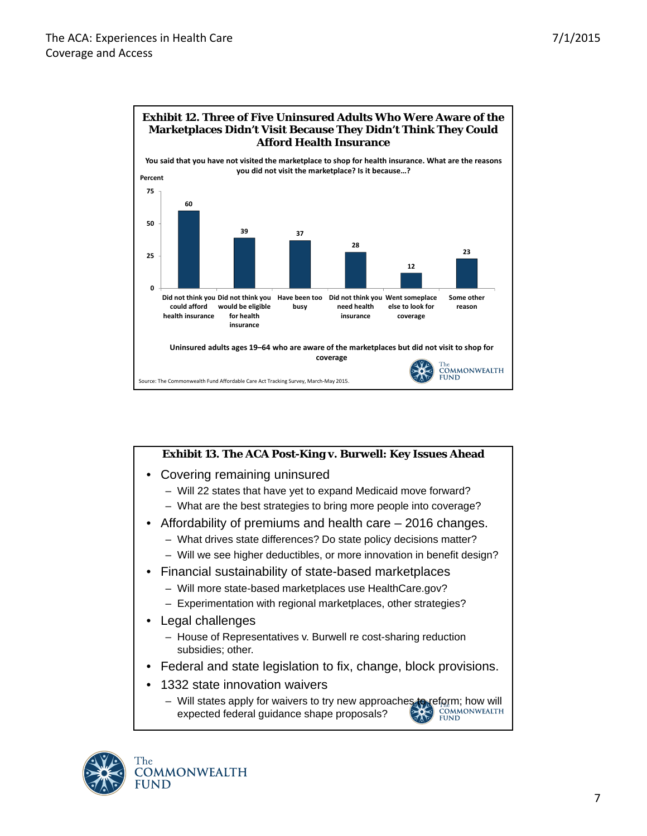

## **Exhibit 13. The ACA Post-King v. Burwell: Key Issues Ahead** • Covering remaining uninsured – Will 22 states that have yet to expand Medicaid move forward? – What are the best strategies to bring more people into coverage? • Affordability of premiums and health care – 2016 changes. – What drives state differences? Do state policy decisions matter? – Will we see higher deductibles, or more innovation in benefit design? • Financial sustainability of state-based marketplaces – Will more state-based marketplaces use HealthCare.gov? – Experimentation with regional marketplaces, other strategies? Legal challenges – House of Representatives v. Burwell re cost-sharing reduction subsidies; other. • Federal and state legislation to fix, change, block provisions. 1332 state innovation waivers – Will states apply for waivers to try new approaches to reform; how will expected federal guidance shape proposals? expected federal guidance shape proposals?